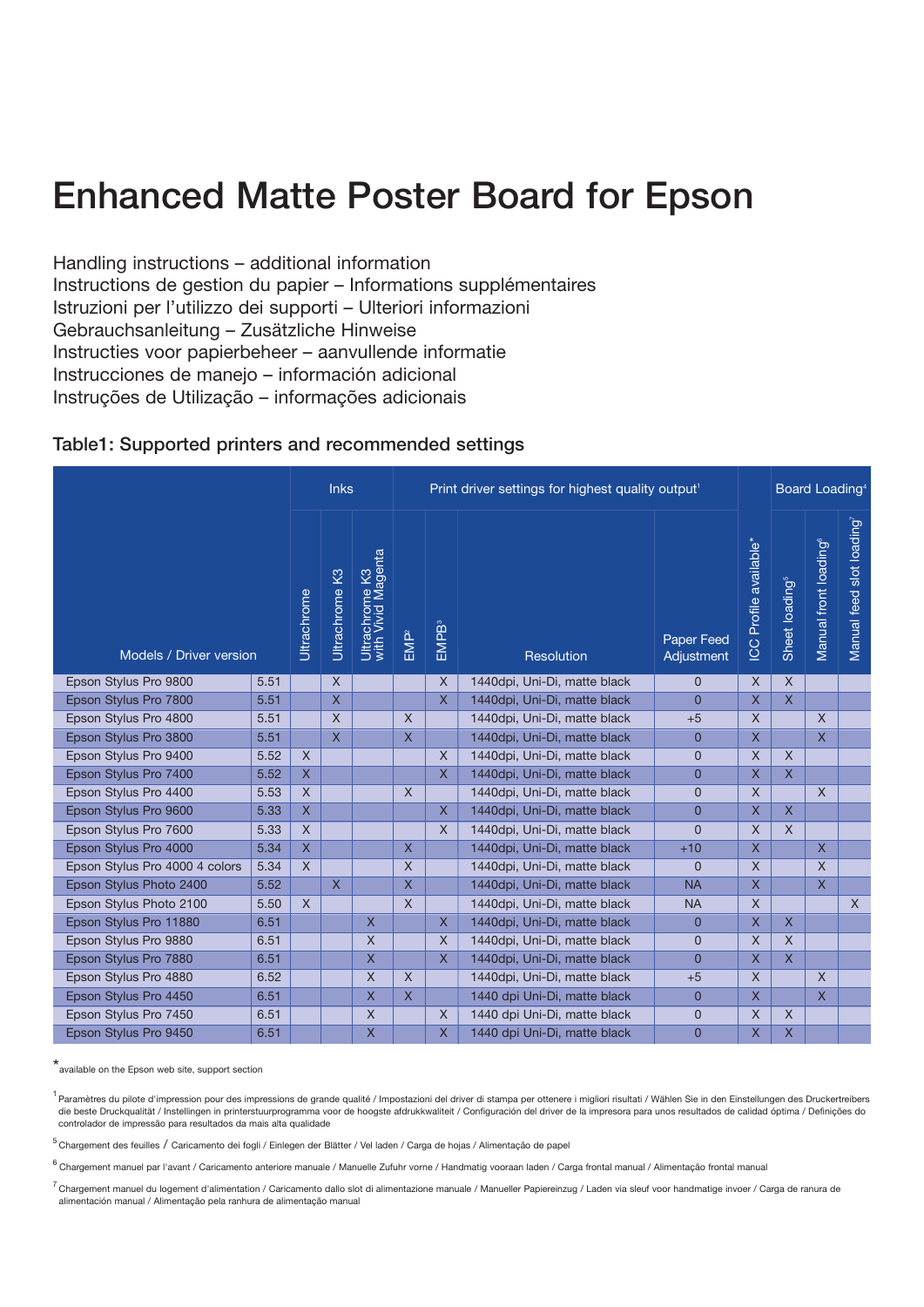# **Enhanced Matte Poster Board for Epson**

Handling instructions – additional information Instructions de gestion du papier – Informations supplémentaires Istruzioni per l'utilizzo dei supporti – Ulteriori informazioni Gebrauchsanleitung – Zusätzliche Hinweise Instructies voor papierbeheer – aanvullende informatie Instrucciones de manejo – información adicional Instruções de Utilização – informações adicionais

### **Table1: Supported printers and recommended settings**

|                                |      |              | <b>Inks</b>             |                                      |                  | Print driver settings for highest quality output <sup>1</sup> |                              |                          |                        | Board Loading <sup>4</sup> |                                   |                          |
|--------------------------------|------|--------------|-------------------------|--------------------------------------|------------------|---------------------------------------------------------------|------------------------------|--------------------------|------------------------|----------------------------|-----------------------------------|--------------------------|
| Models / Driver version        |      | Ultrachrome  | Ultrachrome K3          | Ultrachrome K3<br>with Vivid Magenta | EMP <sup>2</sup> | <b>EMPB</b> <sup>3</sup>                                      | Resolution                   | Paper Feed<br>Adjustment | ICC Profile available* | Sheet loading <sup>5</sup> | Manual front loading <sup>6</sup> | Manual feed slot loading |
| Epson Stylus Pro 9800          | 5.51 |              | $\mathsf{X}$            |                                      |                  | $\times$                                                      | 1440dpi, Uni-Di, matte black | $\overline{0}$           | $\chi$                 | X                          |                                   |                          |
| Epson Stylus Pro 7800          | 5.51 |              | $\overline{\mathsf{X}}$ |                                      |                  | X                                                             | 1440dpi, Uni-Di, matte black | $\overline{0}$           | X                      | $\overline{\mathsf{X}}$    |                                   |                          |
| Epson Stylus Pro 4800          | 5.51 |              | $\overline{\mathsf{x}}$ |                                      | $\mathsf{X}$     |                                                               | 1440dpi, Uni-Di, matte black | $+5$                     | $\times$               |                            | $\mathsf{X}$                      |                          |
| Epson Stylus Pro 3800          | 5.51 |              | $\mathsf{X}$            |                                      | $\overline{X}$   |                                                               | 1440dpi, Uni-Di, matte black | $\Omega$                 | $\mathsf{X}$           |                            | X                                 |                          |
| Epson Stylus Pro 9400          | 5.52 | $\chi$       |                         |                                      |                  | $\times$                                                      | 1440dpi, Uni-Di, matte black | $\overline{0}$           | $\times$               | $\chi$                     |                                   |                          |
| Epson Stylus Pro 7400          | 5.52 | $\mathsf{X}$ |                         |                                      |                  | $\mathsf{X}$                                                  | 1440dpi, Uni-Di, matte black | $\overline{0}$           | X                      | X                          |                                   |                          |
| Epson Stylus Pro 4400          | 5.53 | $\mathsf{X}$ |                         |                                      | $\sf X$          |                                                               | 1440dpi, Uni-Di, matte black | $\overline{0}$           | $\mathsf{X}$           |                            | $\times$                          |                          |
| Epson Stylus Pro 9600          | 5.33 | $\mathsf X$  |                         |                                      |                  | $\mathsf{X}$                                                  | 1440dpi, Uni-Di, matte black | $\overline{0}$           | X                      | X                          |                                   |                          |
| Epson Stylus Pro 7600          | 5.33 | $\mathsf{X}$ |                         |                                      |                  | X                                                             | 1440dpi, Uni-Di, matte black | $\Omega$                 | X                      | $\times$                   |                                   |                          |
| Epson Stylus Pro 4000          | 5.34 | $\mathsf{X}$ |                         |                                      | $\mathsf{X}$     |                                                               | 1440dpi, Uni-Di, matte black | $+10$                    | X                      |                            | $\mathsf{X}$                      |                          |
| Epson Stylus Pro 4000 4 colors | 5.34 | $\mathsf{X}$ |                         |                                      | $\times$         |                                                               | 1440dpi, Uni-Di, matte black | $\mathbf{0}$             | X                      |                            | $\times$                          |                          |
| Epson Stylus Photo 2400        | 5.52 |              | $\overline{X}$          |                                      | $\mathsf{X}$     |                                                               | 1440dpi, Uni-Di, matte black | <b>NA</b>                | X                      |                            | X                                 |                          |
| Epson Stylus Photo 2100        | 5.50 | $\times$     |                         |                                      | $\mathsf{X}$     |                                                               | 1440dpi, Uni-Di, matte black | <b>NA</b>                | $\mathsf{X}$           |                            |                                   | $\times$                 |
| Epson Stylus Pro 11880         | 6.51 |              |                         | $\mathsf{X}$                         |                  | $\mathsf{X}$                                                  | 1440dpi, Uni-Di, matte black | $\overline{0}$           | X                      | X                          |                                   |                          |
| Epson Stylus Pro 9880          | 6.51 |              |                         | $\mathsf{X}$                         |                  | $\mathsf{X}$                                                  | 1440dpi, Uni-Di, matte black | $\overline{0}$           | $\times$               | $\mathsf{X}$               |                                   |                          |
| Epson Stylus Pro 7880          | 6.51 |              |                         | $\overline{X}$                       |                  | $\mathsf{X}$                                                  | 1440dpi, Uni-Di, matte black | $\overline{0}$           | X                      | $\overline{\mathsf{X}}$    |                                   |                          |
| Epson Stylus Pro 4880          | 6.52 |              |                         | $\overline{X}$                       | $\mathsf{X}$     |                                                               | 1440dpi, Uni-Di, matte black | $+5$                     | $\times$               |                            | $\mathsf{X}$                      |                          |
| Epson Stylus Pro 4450          | 6.51 |              |                         | $\overline{X}$                       | $\mathsf{X}$     |                                                               | 1440 dpi Uni-Di, matte black | $\overline{0}$           | X                      |                            | X                                 |                          |
| Epson Stylus Pro 7450          | 6.51 |              |                         | $\mathsf{X}$                         |                  | $\times$                                                      | 1440 dpi Uni-Di, matte black | $\mathbf{0}$             | X                      | X                          |                                   |                          |
| Epson Stylus Pro 9450          | 6.51 |              |                         | X                                    |                  | $\mathsf{X}$                                                  | 1440 dpi Uni-Di, matte black | $\overline{0}$           | X                      | X                          |                                   |                          |

\*available on the Epson web site, support section

1 Paramètres du pilote d'impression pour des impressions de grande qualité / Impostazioni del driver di stampa per ottenere i migliori risultati / Wählen Sie in den Einstellungen des Druckertreibers die beste Druckqualität / Instellingen in printerstuurprogramma voor de hoogste afdrukkwaliteit / Configuración del driver de la impresora para unos resultados de calidad óptima / Definições do controlador de impressão para resultados da mais alta qualidade

<sup>5</sup> Chargement des feuilles / Caricamento dei fogli / Einlegen der Blätter / Vel laden / Carga de hojas / Alimentação de papel

6 Chargement manuel par l'avant / Caricamento anteriore manuale / Manuelle Zufuhr vorne / Handmatig vooraan laden / Carga frontal manual / Alimentação frontal manual

 $^7$  Chargement manuel du logement d'alimentation / Caricamento dallo slot di alimentazione manuale / Manueller Papiereinzug / Laden via sleuf voor handmatige invoer / Carga de ranura de alimentación manual / Alimentação pela ranhura de alimentação manual